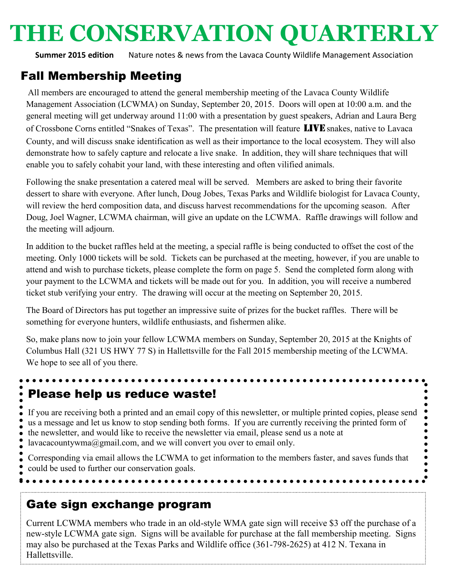# **THE CONSERVATION QUARTERLY**

**Summer 2015 edition** Nature notes & news from the Lavaca County Wildlife Management Association

## Fall Membership Meeting

All members are encouraged to attend the general membership meeting of the Lavaca County Wildlife Management Association (LCWMA) on Sunday, September 20, 2015. Doors will open at 10:00 a.m. and the general meeting will get underway around 11:00 with a presentation by guest speakers, Adrian and Laura Berg of Crossbone Corns entitled "Snakes of Texas". The presentation will feature LIVE snakes, native to Lavaca County, and will discuss snake identification as well as their importance to the local ecosystem. They will also demonstrate how to safely capture and relocate a live snake. In addition, they will share techniques that will enable you to safely cohabit your land, with these interesting and often vilified animals.

Following the snake presentation a catered meal will be served. Members are asked to bring their favorite dessert to share with everyone. After lunch, Doug Jobes, Texas Parks and Wildlife biologist for Lavaca County, will review the herd composition data, and discuss harvest recommendations for the upcoming season. After Doug, Joel Wagner, LCWMA chairman, will give an update on the LCWMA. Raffle drawings will follow and the meeting will adjourn.

In addition to the bucket raffles held at the meeting, a special raffle is being conducted to offset the cost of the meeting. Only 1000 tickets will be sold. Tickets can be purchased at the meeting, however, if you are unable to attend and wish to purchase tickets, please complete the form on page 5. Send the completed form along with your payment to the LCWMA and tickets will be made out for you. In addition, you will receive a numbered ticket stub verifying your entry. The drawing will occur at the meeting on September 20, 2015.

The Board of Directors has put together an impressive suite of prizes for the bucket raffles. There will be something for everyone hunters, wildlife enthusiasts, and fishermen alike.

So, make plans now to join your fellow LCWMA members on Sunday, September 20, 2015 at the Knights of Columbus Hall (321 US HWY 77 S) in Hallettsville for the Fall 2015 membership meeting of the LCWMA. We hope to see all of you there.

# Please help us reduce waste!

If you are receiving both a printed and an email copy of this newsletter, or multiple printed copies, please send us a message and let us know to stop sending both forms. If you are currently receiving the printed form of the newsletter, and would like to receive the newsletter via email, please send us a note at lavacacountywma@gmail.com, and we will convert you over to email only.

Corresponding via email allows the LCWMA to get information to the members faster, and saves funds that could be used to further our conservation goals.

## Gate sign exchange program

Current LCWMA members who trade in an old-style WMA gate sign will receive \$3 off the purchase of a new-style LCWMA gate sign. Signs will be available for purchase at the fall membership meeting. Signs may also be purchased at the Texas Parks and Wildlife office (361-798-2625) at 412 N. Texana in Hallettsville.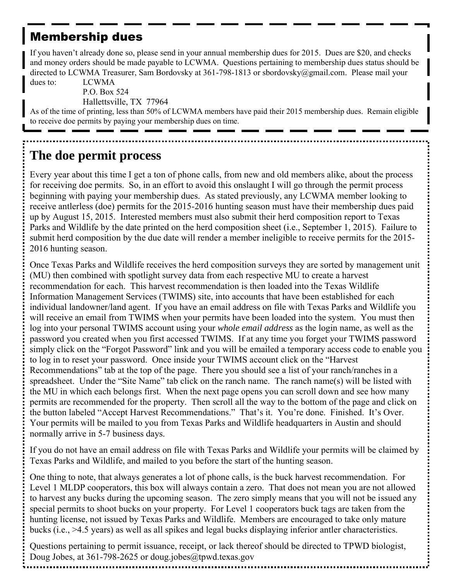## Membership dues

If you haven't already done so, please send in your annual membership dues for 2015. Dues are \$20, and checks and money orders should be made payable to LCWMA. Questions pertaining to membership dues status should be directed to LCWMA Treasurer, Sam Bordovsky at 361-798-1813 or sbordovsky@gmail.com. Please mail your

dues to: LCWMA

P.O. Box 524 Hallettsville, TX 77964

As of the time of printing, less than 50% of LCWMA members have paid their 2015 membership dues. Remain eligible to receive doe permits by paying your membership dues on time.

# **The doe permit process**

Every year about this time I get a ton of phone calls, from new and old members alike, about the process for receiving doe permits. So, in an effort to avoid this onslaught I will go through the permit process beginning with paying your membership dues. As stated previously, any LCWMA member looking to receive antlerless (doe) permits for the 2015-2016 hunting season must have their membership dues paid up by August 15, 2015. Interested members must also submit their herd composition report to Texas Parks and Wildlife by the date printed on the herd composition sheet (i.e., September 1, 2015). Failure to submit herd composition by the due date will render a member ineligible to receive permits for the 2015- 2016 hunting season.

Once Texas Parks and Wildlife receives the herd composition surveys they are sorted by management unit (MU) then combined with spotlight survey data from each respective MU to create a harvest recommendation for each. This harvest recommendation is then loaded into the Texas Wildlife Information Management Services (TWIMS) site, into accounts that have been established for each individual landowner/land agent. If you have an email address on file with Texas Parks and Wildlife you will receive an email from TWIMS when your permits have been loaded into the system. You must then log into your personal TWIMS account using your *whole email address* as the login name, as well as the password you created when you first accessed TWIMS. If at any time you forget your TWIMS password simply click on the "Forgot Password" link and you will be emailed a temporary access code to enable you to log in to reset your password. Once inside your TWIMS account click on the "Harvest Recommendations" tab at the top of the page. There you should see a list of your ranch/ranches in a spreadsheet. Under the "Site Name" tab click on the ranch name. The ranch name(s) will be listed with the MU in which each belongs first. When the next page opens you can scroll down and see how many permits are recommended for the property. Then scroll all the way to the bottom of the page and click on the button labeled "Accept Harvest Recommendations." That's it. You're done. Finished. It's Over. Your permits will be mailed to you from Texas Parks and Wildlife headquarters in Austin and should normally arrive in 5-7 business days.

If you do not have an email address on file with Texas Parks and Wildlife your permits will be claimed by Texas Parks and Wildlife, and mailed to you before the start of the hunting season.

One thing to note, that always generates a lot of phone calls, is the buck harvest recommendation. For Level 1 MLDP cooperators, this box will always contain a zero. That does not mean you are not allowed to harvest any bucks during the upcoming season. The zero simply means that you will not be issued any special permits to shoot bucks on your property. For Level 1 cooperators buck tags are taken from the hunting license, not issued by Texas Parks and Wildlife. Members are encouraged to take only mature bucks (i.e., >4.5 years) as well as all spikes and legal bucks displaying inferior antler characteristics.

Questions pertaining to permit issuance, receipt, or lack thereof should be directed to TPWD biologist, Doug Jobes, at 361-798-2625 or doug.jobes@tpwd.texas.gov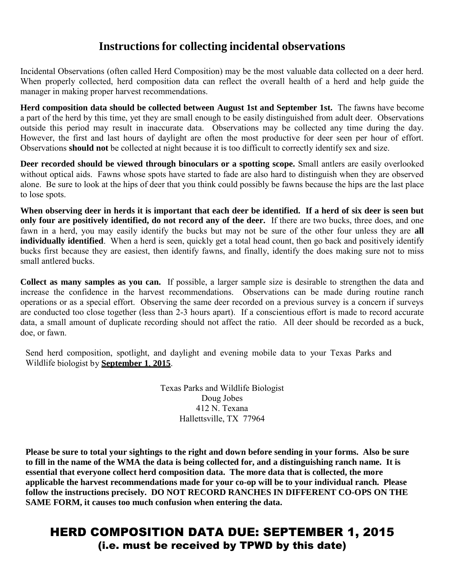#### **Instructions for collecting incidental observations**

Incidental Observations (often called Herd Composition) may be the most valuable data collected on a deer herd. When properly collected, herd composition data can reflect the overall health of a herd and help guide the manager in making proper harvest recommendations.

**Herd composition data should be collected between August 1st and September 1st.** The fawns have become a part of the herd by this time, yet they are small enough to be easily distinguished from adult deer. Observations outside this period may result in inaccurate data. Observations may be collected any time during the day. However, the first and last hours of daylight are often the most productive for deer seen per hour of effort. Observations **should not** be collected at night because it is too difficult to correctly identify sex and size.

**Deer recorded should be viewed through binoculars or a spotting scope.** Small antlers are easily overlooked without optical aids. Fawns whose spots have started to fade are also hard to distinguish when they are observed alone. Be sure to look at the hips of deer that you think could possibly be fawns because the hips are the last place to lose spots.

**When observing deer in herds it is important that each deer be identified. If a herd of six deer is seen but only four are positively identified, do not record any of the deer.** If there are two bucks, three does, and one fawn in a herd, you may easily identify the bucks but may not be sure of the other four unless they are **all individually identified**. When a herd is seen, quickly get a total head count, then go back and positively identify bucks first because they are easiest, then identify fawns, and finally, identify the does making sure not to miss small antlered bucks.

**Collect as many samples as you can.** If possible, a larger sample size is desirable to strengthen the data and increase the confidence in the harvest recommendations. Observations can be made during routine ranch operations or as a special effort. Observing the same deer recorded on a previous survey is a concern if surveys are conducted too close together (less than 2-3 hours apart). If a conscientious effort is made to record accurate data, a small amount of duplicate recording should not affect the ratio. All deer should be recorded as a buck, doe, or fawn.

Send herd composition, spotlight, and daylight and evening mobile data to your Texas Parks and Wildlife biologist by **September 1**, **2015**.

> Texas Parks and Wildlife Biologist Doug Jobes 412 N. Texana Hallettsville, TX 77964

**Please be sure to total your sightings to the right and down before sending in your forms. Also be sure to fill in the name of the WMA the data is being collected for, and a distinguishing ranch name. It is essential that everyone collect herd composition data. The more data that is collected, the more applicable the harvest recommendations made for your co-op will be to your individual ranch. Please follow the instructions precisely. DO NOT RECORD RANCHES IN DIFFERENT CO-OPS ON THE SAME FORM, it causes too much confusion when entering the data.**

### HERD COMPOSITION DATA DUE: SEPTEMBER 1, 2015 (i.e. must be received by TPWD by this date)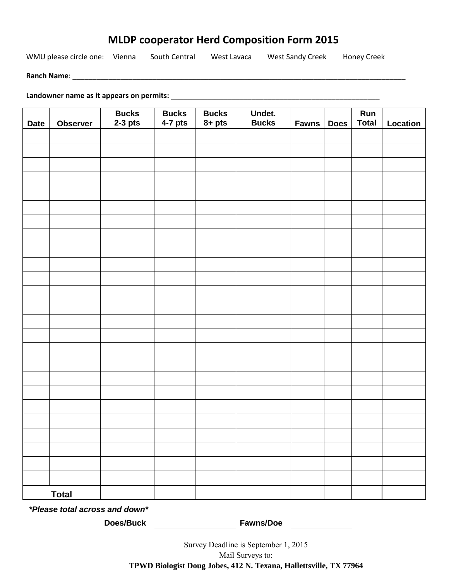#### **MLDP cooperator Herd Composition Form 2015**

WMU please circle one: Vienna South Central West Lavaca West Sandy Creek Honey Creek

**Ranch Name**: \_\_\_\_\_\_\_\_\_\_\_\_\_\_\_\_\_\_\_\_\_\_\_\_\_\_\_\_\_\_\_\_\_\_\_\_\_\_\_\_\_\_\_\_\_\_\_\_\_\_\_\_\_\_\_\_\_\_\_\_\_\_\_\_\_\_\_\_\_\_\_\_\_\_\_\_\_\_\_\_\_\_\_

**Landowner name as it appears on permits:** \_\_\_\_\_\_\_\_\_\_\_\_\_\_\_\_\_\_\_\_\_\_\_\_\_\_\_\_\_\_\_\_\_\_\_\_\_\_\_\_\_\_\_\_\_\_\_\_\_\_\_\_

| <b>Date</b>  | Observer | <b>Bucks</b><br>$2-3$ pts | <b>Bucks</b><br>$4-7$ pts | <b>Bucks</b><br>$8 + pts$ | Undet.<br><b>Bucks</b> | <b>Fawns</b> | <b>Does</b> | Run<br><b>Total</b> | Location |
|--------------|----------|---------------------------|---------------------------|---------------------------|------------------------|--------------|-------------|---------------------|----------|
|              |          |                           |                           |                           |                        |              |             |                     |          |
|              |          |                           |                           |                           |                        |              |             |                     |          |
|              |          |                           |                           |                           |                        |              |             |                     |          |
|              |          |                           |                           |                           |                        |              |             |                     |          |
|              |          |                           |                           |                           |                        |              |             |                     |          |
|              |          |                           |                           |                           |                        |              |             |                     |          |
|              |          |                           |                           |                           |                        |              |             |                     |          |
|              |          |                           |                           |                           |                        |              |             |                     |          |
|              |          |                           |                           |                           |                        |              |             |                     |          |
|              |          |                           |                           |                           |                        |              |             |                     |          |
|              |          |                           |                           |                           |                        |              |             |                     |          |
|              |          |                           |                           |                           |                        |              |             |                     |          |
|              |          |                           |                           |                           |                        |              |             |                     |          |
|              |          |                           |                           |                           |                        |              |             |                     |          |
|              |          |                           |                           |                           |                        |              |             |                     |          |
|              |          |                           |                           |                           |                        |              |             |                     |          |
|              |          |                           |                           |                           |                        |              |             |                     |          |
|              |          |                           |                           |                           |                        |              |             |                     |          |
|              |          |                           |                           |                           |                        |              |             |                     |          |
|              |          |                           |                           |                           |                        |              |             |                     |          |
|              |          |                           |                           |                           |                        |              |             |                     |          |
|              |          |                           |                           |                           |                        |              |             |                     |          |
|              |          |                           |                           |                           |                        |              |             |                     |          |
|              |          |                           |                           |                           |                        |              |             |                     |          |
|              |          |                           |                           |                           |                        |              |             |                     |          |
|              |          |                           |                           |                           |                        |              |             |                     |          |
| <b>Total</b> |          |                           |                           |                           |                        |              |             |                     |          |

*\*Please total across and down\** 

**Does/Buck Fawns/Doe**

Survey Deadline is September 1, 2015 Mail Surveys to: **TPWD Biologist Doug Jobes, 412 N. Texana, Hallettsville, TX 77964**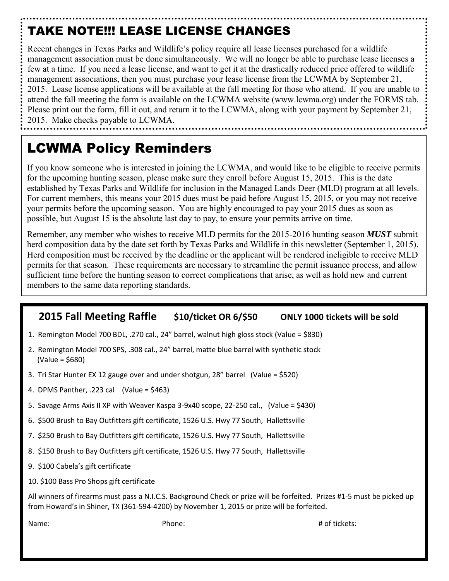# TAKE NOTE!!! LEASE LICENSE CHANGES

Recent changes in Texas Parks and Wildlife's policy require all lease licenses purchased for a wildlife management association must be done simultaneously. We will no longer be able to purchase lease licenses a few at a time. If you need a lease license, and want to get it at the drastically reduced price offered to wildlife management associations, then you must purchase your lease license from the LCWMA by September 21, 2015. Lease license applications will be available at the fall meeting for those who attend. If you are unable to attend the fall meeting the form is available on the LCWMA website (www.lcwma.org) under the FORMS tab. Please print out the form, fill it out, and return it to the LCWMA, along with your payment by September 21, 2015. Make checks payable to LCWMA.

# LCWMA Policy Reminders

If you know someone who is interested in joining the LCWMA, and would like to be eligible to receive permits for the upcoming hunting season, please make sure they enroll before August 15, 2015. This is the date established by Texas Parks and Wildlife for inclusion in the Managed Lands Deer (MLD) program at all levels. For current members, this means your 2015 dues must be paid before August 15, 2015, or you may not receive your permits before the upcoming season. You are highly encouraged to pay your 2015 dues as soon as possible, but August 15 is the absolute last day to pay, to ensure your permits arrive on time.

Remember, any member who wishes to receive MLD permits for the 2015-2016 hunting season *MUST* submit herd composition data by the date set forth by Texas Parks and Wildlife in this newsletter (September 1, 2015). Herd composition must be received by the deadline or the applicant will be rendered ineligible to receive MLD permits for that season. These requirements are necessary to streamline the permit issuance process, and allow sufficient time before the hunting season to correct complications that arise, as well as hold new and current members to the same data reporting standards.

#### **2015 Fall Meeting Raffle \$10/ticket OR 6/\$50 ONLY 1000 tickets will be sold**

- 1. Remington Model 700 BDL, .270 cal., 24" barrel, walnut high gloss stock (Value = \$830)
- 2. Remington Model 700 SPS, .308 cal., 24" barrel, matte blue barrel with synthetic stock (Value = \$680)
- 3. Tri Star Hunter EX 12 gauge over and under shotgun, 28" barrel (Value = \$520)
- 4. DPMS Panther, .223 cal (Value = \$463)
- 5. Savage Arms Axis II XP with Weaver Kaspa 3-9x40 scope, 22-250 cal., (Value = \$430)
- 6. \$500 Brush to Bay Outfitters gift certificate, 1526 U.S. Hwy 77 South, Hallettsville
- 7. \$250 Brush to Bay Outfitters gift certificate, 1526 U.S. Hwy 77 South, Hallettsville
- 8. \$150 Brush to Bay Outfitters gift certificate, 1526 U.S. Hwy 77 South, Hallettsville
- 9. \$100 Cabela's gift certificate
- 10. \$100 Bass Pro Shops gift certificate

All winners of firearms must pass a N.I.C.S. Background Check or prize will be forfeited. Prizes #1-5 must be picked up from Howard's in Shiner, TX (361-594-4200) by November 1, 2015 or prize will be forfeited.

Name: # of tickets: